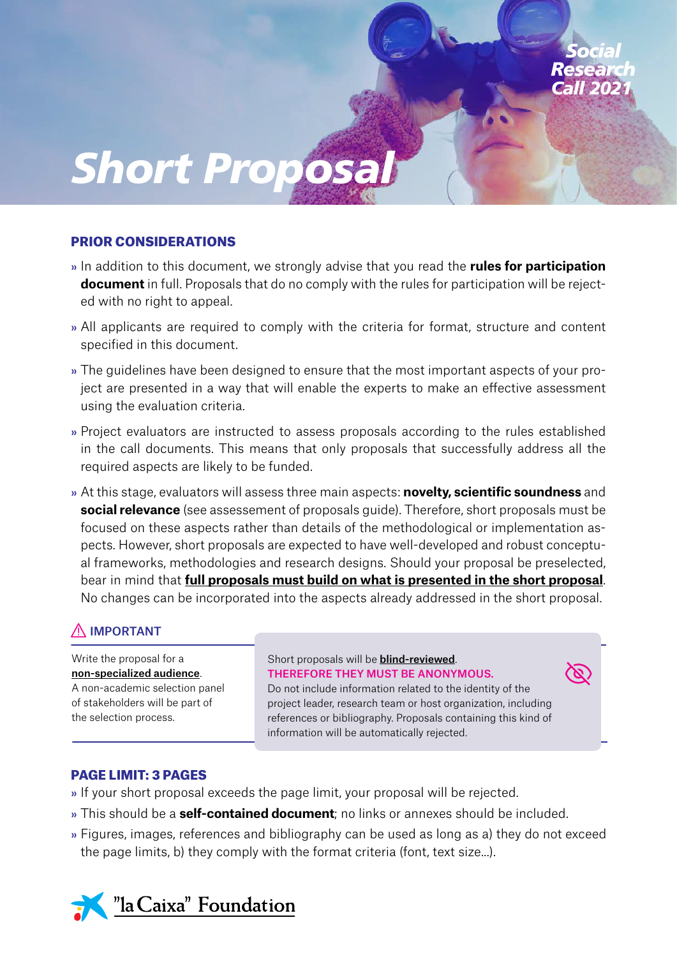

#### PRIOR CONSIDERATIONS

- » In addition to this document, we strongly advise that you read the **rules for participation document** in full. Proposals that do no comply with the rules for participation will be rejected with no right to appeal.
- » All applicants are required to comply with the criteria for format, structure and content specified in this document.
- » The guidelines have been designed to ensure that the most important aspects of your project are presented in a way that will enable the experts to make an effective assessment using the evaluation criteria.
- » Project evaluators are instructed to assess proposals according to the rules established in the call documents. This means that only proposals that successfully address all the required aspects are likely to be funded.
- » At this stage, evaluators will assess three main aspects: **novelty, scientific soundness** and **social relevance** (see assessement of proposals guide). Therefore, short proposals must be focused on these aspects rather than details of the methodological or implementation aspects. However, short proposals are expected to have well-developed and robust conceptual frameworks, methodologies and research designs. Should your proposal be preselected, bear in mind that **full proposals must build on what is presented in the short proposal**. No changes can be incorporated into the aspects already addressed in the short proposal.

# IMPORTANT

Write the proposal for a non-specialized audience. A non-academic selection panel of stakeholders will be part of the selection process.

#### Short proposals will be **blind-reviewed**. THEREFORE THEY MUST BE ANONYMOUS.

Do not include information related to the identity of the project leader, research team or host organization, including references or bibliography. Proposals containing this kind of information will be automatically rejected.

#### PAGE LIMIT: 3 PAGES

- » If your short proposal exceeds the page limit, your proposal will be rejected.
- » This should be a **self-contained document**; no links or annexes should be included.
- » Figures, images, references and bibliography can be used as long as a) they do not exceed the page limits, b) they comply with the format criteria (font, text size...).